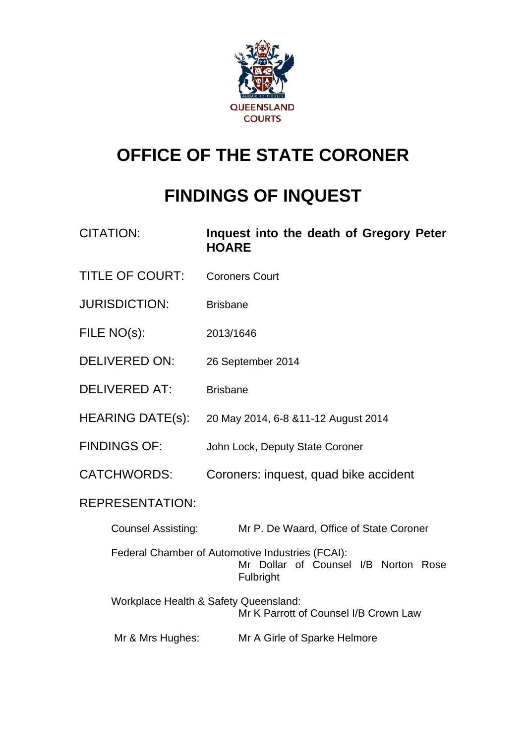

## **OFFICE OF THE STATE CORONER**

# **FINDINGS OF INQUEST**

| <b>CITATION:</b>          | Inquest into the death of Gregory Peter<br><b>HOARE</b>                                               |  |  |  |
|---------------------------|-------------------------------------------------------------------------------------------------------|--|--|--|
| <b>TITLE OF COURT:</b>    | <b>Coroners Court</b>                                                                                 |  |  |  |
| <b>JURISDICTION:</b>      | <b>Brisbane</b>                                                                                       |  |  |  |
| FILE NO(s):               | 2013/1646                                                                                             |  |  |  |
| <b>DELIVERED ON:</b>      | 26 September 2014                                                                                     |  |  |  |
| <b>DELIVERED AT:</b>      | <b>Brisbane</b>                                                                                       |  |  |  |
| HEARING DATE(s):          | 20 May 2014, 6-8 & 11-12 August 2014                                                                  |  |  |  |
| <b>FINDINGS OF:</b>       | John Lock, Deputy State Coroner                                                                       |  |  |  |
| <b>CATCHWORDS:</b>        | Coroners: inquest, quad bike accident                                                                 |  |  |  |
| <b>REPRESENTATION:</b>    |                                                                                                       |  |  |  |
| <b>Counsel Assisting:</b> | Mr P. De Waard, Office of State Coroner                                                               |  |  |  |
|                           | Federal Chamber of Automotive Industries (FCAI):<br>Mr Dollar of Counsel I/B Norton Rose<br>Fulbright |  |  |  |
|                           | Workplace Health & Safety Queensland:<br>Mr K Parrott of Counsel I/B Crown Law                        |  |  |  |
| Mr & Mrs Hughes:          | Mr A Girle of Sparke Helmore                                                                          |  |  |  |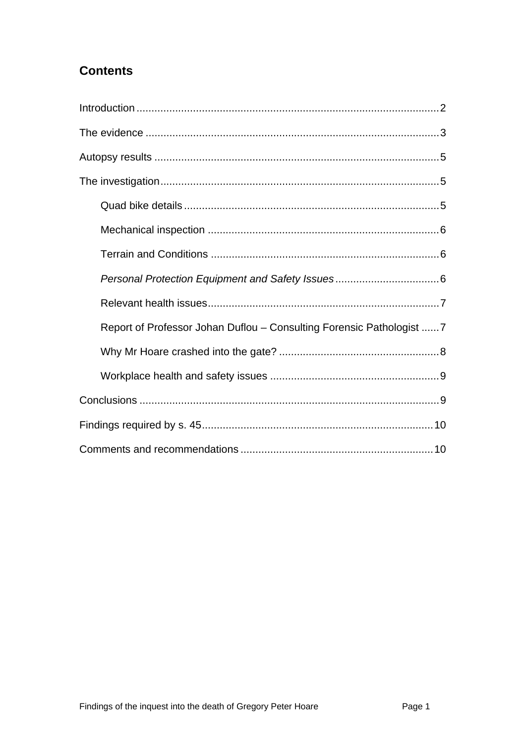## **Contents**

<span id="page-1-0"></span>

| Report of Professor Johan Duflou - Consulting Forensic Pathologist  7 |
|-----------------------------------------------------------------------|
|                                                                       |
|                                                                       |
|                                                                       |
|                                                                       |
|                                                                       |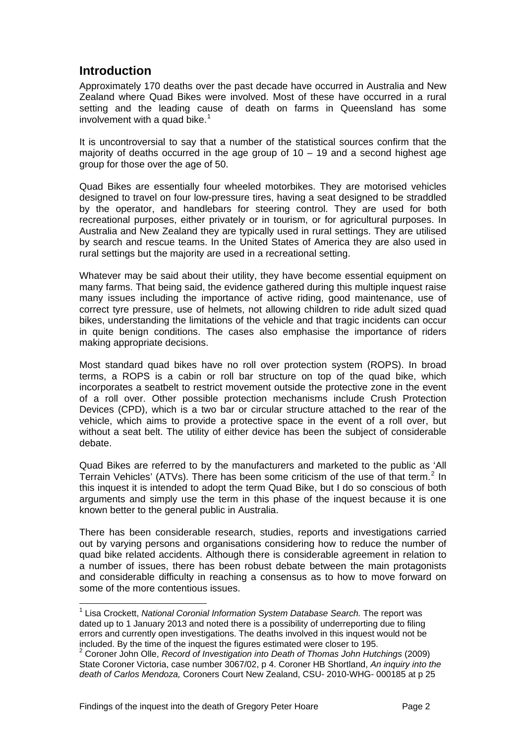## **Introduction**

<span id="page-2-0"></span>Approximately 170 deaths over the past decade have occurred in Australia and New Zealand where Quad Bikes were involved. Most of these have occurred in a rural setting and the leading cause of death on farms in Queensland has some involvement with a quad bike. $1$ 

It is uncontroversial to say that a number of the statistical sources confirm that the majority of deaths occurred in the age group of  $10 - 19$  and a second highest age group for those over the age of 50.

Quad Bikes are essentially four wheeled motorbikes. They are motorised vehicles designed to travel on four low-pressure tires, having a seat designed to be straddled by the operator, and handlebars for steering control. They are used for both recreational purposes, either privately or in tourism, or for agricultural purposes. In Australia and New Zealand they are typically used in rural settings. They are utilised by search and rescue teams. In the United States of America they are also used in rural settings but the majority are used in a recreational setting.

Whatever may be said about their utility, they have become essential equipment on many farms. That being said, the evidence gathered during this multiple inquest raise many issues including the importance of active riding, good maintenance, use of correct tyre pressure, use of helmets, not allowing children to ride adult sized quad bikes, understanding the limitations of the vehicle and that tragic incidents can occur in quite benign conditions. The cases also emphasise the importance of riders making appropriate decisions.

Most standard quad bikes have no roll over protection system (ROPS). In broad terms, a ROPS is a cabin or roll bar structure on top of the quad bike, which incorporates a seatbelt to restrict movement outside the protective zone in the event of a roll over. Other possible protection mechanisms include Crush Protection Devices (CPD), which is a two bar or circular structure attached to the rear of the vehicle, which aims to provide a protective space in the event of a roll over, but without a seat belt. The utility of either device has been the subject of considerable debate.

Quad Bikes are referred to by the manufacturers and marketed to the public as 'All Terrain Vehicles' (ATVs). There has been some criticism of the use of that term.<sup>[2](#page-2-1)</sup> In this inquest it is intended to adopt the term Quad Bike, but I do so conscious of both arguments and simply use the term in this phase of the inquest because it is one known better to the general public in Australia.

There has been considerable research, studies, reports and investigations carried out by varying persons and organisations considering how to reduce the number of quad bike related accidents. Although there is considerable agreement in relation to a number of issues, there has been robust debate between the main protagonists and considerable difficulty in reaching a consensus as to how to move forward on some of the more contentious issues.

l

<sup>&</sup>lt;sup>1</sup> Lisa Crockett, *National Coronial Information System Database Search.* The report was dated up to 1 January 2013 and noted there is a possibility of underreporting due to filing errors and currently open investigations. The deaths involved in this inquest would not be included. By the time of the inquest the figures estimated were closer to 195. 2

<span id="page-2-1"></span><sup>&</sup>lt;sup>2</sup> Coroner John Olle, *Record of Investigation into Death of Thomas John Hutchings (2009)* State Coroner Victoria, case number 3067/02, p 4. Coroner HB Shortland, *An inquiry into the death of Carlos Mendoza,* Coroners Court New Zealand, CSU- 2010-WHG- 000185 at p 25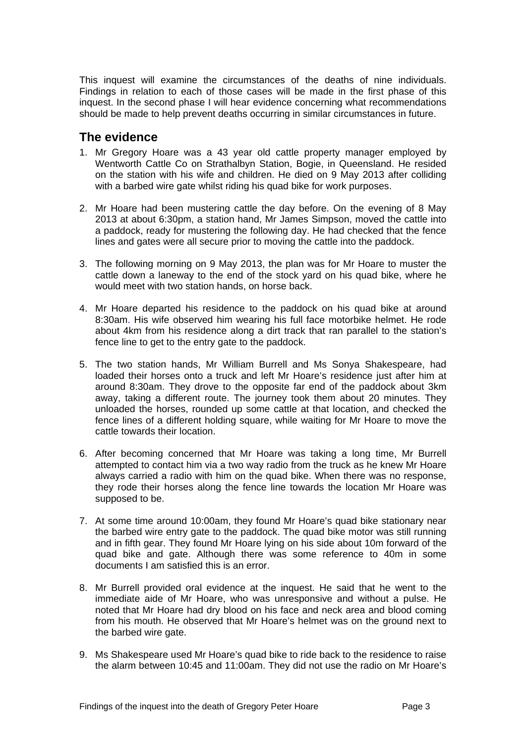This inquest will examine the circumstances of the deaths of nine individuals. Findings in relation to each of those cases will be made in the first phase of this inquest. In the second phase I will hear evidence concerning what recommendations should be made to help prevent deaths occurring in similar circumstances in future.

### <span id="page-3-0"></span>**The evidence**

- 1. Mr Gregory Hoare was a 43 year old cattle property manager employed by Wentworth Cattle Co on Strathalbyn Station, Bogie, in Queensland. He resided on the station with his wife and children. He died on 9 May 2013 after colliding with a barbed wire gate whilst riding his quad bike for work purposes.
- 2. Mr Hoare had been mustering cattle the day before. On the evening of 8 May 2013 at about 6:30pm, a station hand, Mr James Simpson, moved the cattle into a paddock, ready for mustering the following day. He had checked that the fence lines and gates were all secure prior to moving the cattle into the paddock.
- 3. The following morning on 9 May 2013, the plan was for Mr Hoare to muster the cattle down a laneway to the end of the stock yard on his quad bike, where he would meet with two station hands, on horse back.
- 4. Mr Hoare departed his residence to the paddock on his quad bike at around 8:30am. His wife observed him wearing his full face motorbike helmet. He rode about 4km from his residence along a dirt track that ran parallel to the station's fence line to get to the entry gate to the paddock.
- 5. The two station hands, Mr William Burrell and Ms Sonya Shakespeare, had loaded their horses onto a truck and left Mr Hoare's residence just after him at around 8:30am. They drove to the opposite far end of the paddock about 3km away, taking a different route. The journey took them about 20 minutes. They unloaded the horses, rounded up some cattle at that location, and checked the fence lines of a different holding square, while waiting for Mr Hoare to move the cattle towards their location.
- 6. After becoming concerned that Mr Hoare was taking a long time, Mr Burrell attempted to contact him via a two way radio from the truck as he knew Mr Hoare always carried a radio with him on the quad bike. When there was no response, they rode their horses along the fence line towards the location Mr Hoare was supposed to be.
- 7. At some time around 10:00am, they found Mr Hoare's quad bike stationary near the barbed wire entry gate to the paddock. The quad bike motor was still running and in fifth gear. They found Mr Hoare lying on his side about 10m forward of the quad bike and gate. Although there was some reference to 40m in some documents I am satisfied this is an error.
- 8. Mr Burrell provided oral evidence at the inquest. He said that he went to the immediate aide of Mr Hoare, who was unresponsive and without a pulse. He noted that Mr Hoare had dry blood on his face and neck area and blood coming from his mouth. He observed that Mr Hoare's helmet was on the ground next to the barbed wire gate.
- 9. Ms Shakespeare used Mr Hoare's quad bike to ride back to the residence to raise the alarm between 10:45 and 11:00am. They did not use the radio on Mr Hoare's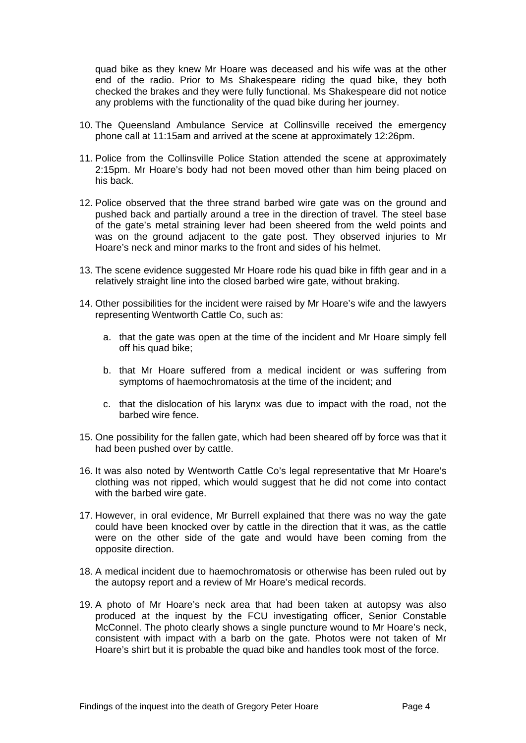quad bike as they knew Mr Hoare was deceased and his wife was at the other end of the radio. Prior to Ms Shakespeare riding the quad bike, they both checked the brakes and they were fully functional. Ms Shakespeare did not notice any problems with the functionality of the quad bike during her journey.

- 10. The Queensland Ambulance Service at Collinsville received the emergency phone call at 11:15am and arrived at the scene at approximately 12:26pm.
- 11. Police from the Collinsville Police Station attended the scene at approximately 2:15pm. Mr Hoare's body had not been moved other than him being placed on his back.
- 12. Police observed that the three strand barbed wire gate was on the ground and pushed back and partially around a tree in the direction of travel. The steel base of the gate's metal straining lever had been sheered from the weld points and was on the ground adjacent to the gate post. They observed injuries to Mr Hoare's neck and minor marks to the front and sides of his helmet.
- 13. The scene evidence suggested Mr Hoare rode his quad bike in fifth gear and in a relatively straight line into the closed barbed wire gate, without braking.
- 14. Other possibilities for the incident were raised by Mr Hoare's wife and the lawyers representing Wentworth Cattle Co, such as:
	- a. that the gate was open at the time of the incident and Mr Hoare simply fell off his quad bike;
	- b. that Mr Hoare suffered from a medical incident or was suffering from symptoms of haemochromatosis at the time of the incident; and
	- c. that the dislocation of his larynx was due to impact with the road, not the barbed wire fence.
- 15. One possibility for the fallen gate, which had been sheared off by force was that it had been pushed over by cattle.
- 16. It was also noted by Wentworth Cattle Co's legal representative that Mr Hoare's clothing was not ripped, which would suggest that he did not come into contact with the barbed wire gate.
- 17. However, in oral evidence, Mr Burrell explained that there was no way the gate could have been knocked over by cattle in the direction that it was, as the cattle were on the other side of the gate and would have been coming from the opposite direction.
- 18. A medical incident due to haemochromatosis or otherwise has been ruled out by the autopsy report and a review of Mr Hoare's medical records.
- 19. A photo of Mr Hoare's neck area that had been taken at autopsy was also produced at the inquest by the FCU investigating officer, Senior Constable McConnel. The photo clearly shows a single puncture wound to Mr Hoare's neck, consistent with impact with a barb on the gate. Photos were not taken of Mr Hoare's shirt but it is probable the quad bike and handles took most of the force.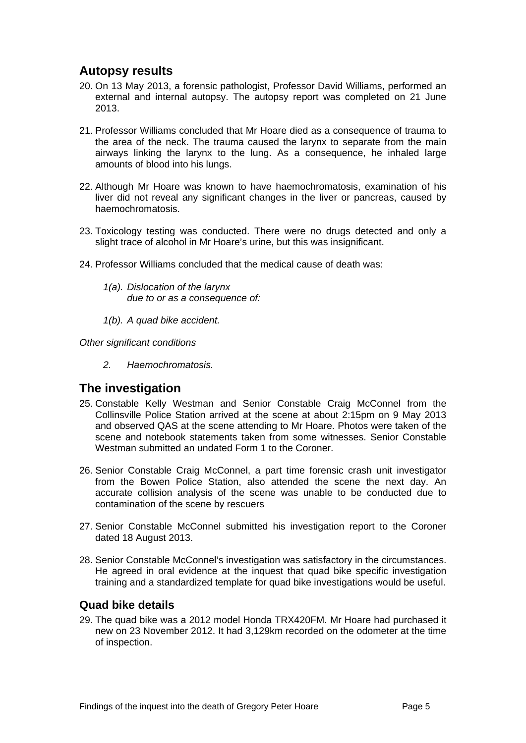## <span id="page-5-0"></span>**Autopsy results**

- 20. On 13 May 2013, a forensic pathologist, Professor David Williams, performed an external and internal autopsy. The autopsy report was completed on 21 June 2013.
- 21. Professor Williams concluded that Mr Hoare died as a consequence of trauma to the area of the neck. The trauma caused the larynx to separate from the main airways linking the larynx to the lung. As a consequence, he inhaled large amounts of blood into his lungs.
- 22. Although Mr Hoare was known to have haemochromatosis, examination of his liver did not reveal any significant changes in the liver or pancreas, caused by haemochromatosis.
- 23. Toxicology testing was conducted. There were no drugs detected and only a slight trace of alcohol in Mr Hoare's urine, but this was insignificant.
- 24. Professor Williams concluded that the medical cause of death was:
	- *1(a). Dislocation of the larynx due to or as a consequence of:*
	- *1(b). A quad bike accident.*

*Other significant conditions* 

 *2. Haemochromatosis.* 

#### <span id="page-5-1"></span>**The investigation**

- 25. Constable Kelly Westman and Senior Constable Craig McConnel from the Collinsville Police Station arrived at the scene at about 2:15pm on 9 May 2013 and observed QAS at the scene attending to Mr Hoare. Photos were taken of the scene and notebook statements taken from some witnesses. Senior Constable Westman submitted an undated Form 1 to the Coroner.
- 26. Senior Constable Craig McConnel, a part time forensic crash unit investigator from the Bowen Police Station, also attended the scene the next day. An accurate collision analysis of the scene was unable to be conducted due to contamination of the scene by rescuers
- 27. Senior Constable McConnel submitted his investigation report to the Coroner dated 18 August 2013.
- 28. Senior Constable McConnel's investigation was satisfactory in the circumstances. He agreed in oral evidence at the inquest that quad bike specific investigation training and a standardized template for quad bike investigations would be useful.

#### <span id="page-5-2"></span>**Quad bike details**

29. The quad bike was a 2012 model Honda TRX420FM. Mr Hoare had purchased it new on 23 November 2012. It had 3,129km recorded on the odometer at the time of inspection.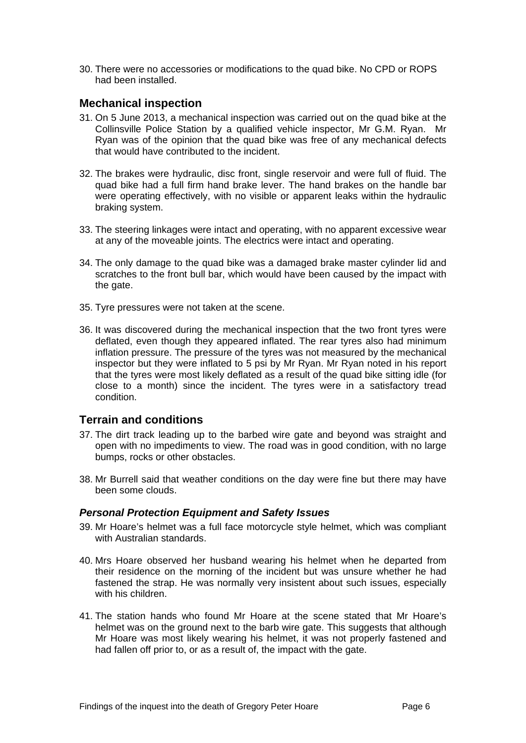30. There were no accessories or modifications to the quad bike. No CPD or ROPS had been installed.

#### <span id="page-6-0"></span>**Mechanical inspection**

- 31. On 5 June 2013, a mechanical inspection was carried out on the quad bike at the Collinsville Police Station by a qualified vehicle inspector, Mr G.M. Ryan. Mr Ryan was of the opinion that the quad bike was free of any mechanical defects that would have contributed to the incident.
- 32. The brakes were hydraulic, disc front, single reservoir and were full of fluid. The quad bike had a full firm hand brake lever. The hand brakes on the handle bar were operating effectively, with no visible or apparent leaks within the hydraulic braking system.
- 33. The steering linkages were intact and operating, with no apparent excessive wear at any of the moveable joints. The electrics were intact and operating.
- 34. The only damage to the quad bike was a damaged brake master cylinder lid and scratches to the front bull bar, which would have been caused by the impact with the gate.
- 35. Tyre pressures were not taken at the scene.
- 36. It was discovered during the mechanical inspection that the two front tyres were deflated, even though they appeared inflated. The rear tyres also had minimum inflation pressure. The pressure of the tyres was not measured by the mechanical inspector but they were inflated to 5 psi by Mr Ryan. Mr Ryan noted in his report that the tyres were most likely deflated as a result of the quad bike sitting idle (for close to a month) since the incident. The tyres were in a satisfactory tread condition.

#### <span id="page-6-1"></span>**Terrain and conditions**

- 37. The dirt track leading up to the barbed wire gate and beyond was straight and open with no impediments to view. The road was in good condition, with no large bumps, rocks or other obstacles.
- 38. Mr Burrell said that weather conditions on the day were fine but there may have been some clouds.

#### <span id="page-6-2"></span>*Personal Protection Equipment and Safety Issues*

- 39. Mr Hoare's helmet was a full face motorcycle style helmet, which was compliant with Australian standards.
- 40. Mrs Hoare observed her husband wearing his helmet when he departed from their residence on the morning of the incident but was unsure whether he had fastened the strap. He was normally very insistent about such issues, especially with his children.
- 41. The station hands who found Mr Hoare at the scene stated that Mr Hoare's helmet was on the ground next to the barb wire gate. This suggests that although Mr Hoare was most likely wearing his helmet, it was not properly fastened and had fallen off prior to, or as a result of, the impact with the gate.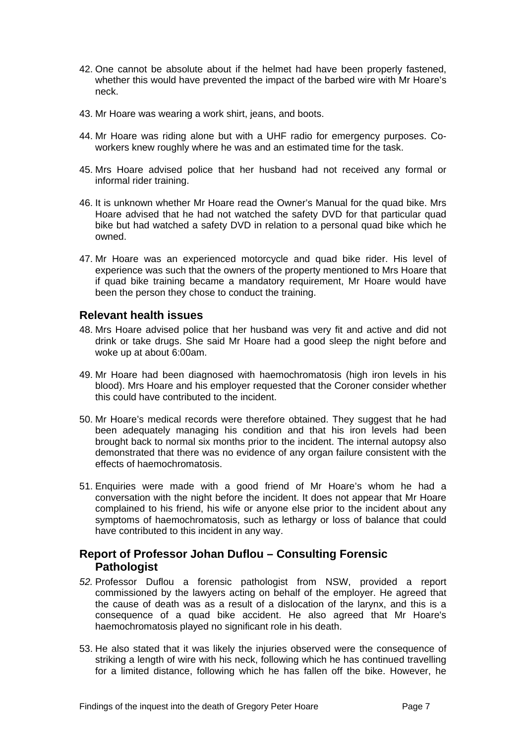- 42. One cannot be absolute about if the helmet had have been properly fastened, whether this would have prevented the impact of the barbed wire with Mr Hoare's neck.
- 43. Mr Hoare was wearing a work shirt, jeans, and boots.
- 44. Mr Hoare was riding alone but with a UHF radio for emergency purposes. Coworkers knew roughly where he was and an estimated time for the task.
- 45. Mrs Hoare advised police that her husband had not received any formal or informal rider training.
- 46. It is unknown whether Mr Hoare read the Owner's Manual for the quad bike. Mrs Hoare advised that he had not watched the safety DVD for that particular quad bike but had watched a safety DVD in relation to a personal quad bike which he owned.
- 47. Mr Hoare was an experienced motorcycle and quad bike rider. His level of experience was such that the owners of the property mentioned to Mrs Hoare that if quad bike training became a mandatory requirement, Mr Hoare would have been the person they chose to conduct the training.

#### <span id="page-7-0"></span>**Relevant health issues**

- 48. Mrs Hoare advised police that her husband was very fit and active and did not drink or take drugs. She said Mr Hoare had a good sleep the night before and woke up at about 6:00am.
- 49. Mr Hoare had been diagnosed with haemochromatosis (high iron levels in his blood). Mrs Hoare and his employer requested that the Coroner consider whether this could have contributed to the incident.
- 50. Mr Hoare's medical records were therefore obtained. They suggest that he had been adequately managing his condition and that his iron levels had been brought back to normal six months prior to the incident. The internal autopsy also demonstrated that there was no evidence of any organ failure consistent with the effects of haemochromatosis.
- 51. Enquiries were made with a good friend of Mr Hoare's whom he had a conversation with the night before the incident. It does not appear that Mr Hoare complained to his friend, his wife or anyone else prior to the incident about any symptoms of haemochromatosis, such as lethargy or loss of balance that could have contributed to this incident in any way.

#### <span id="page-7-1"></span>**Report of Professor Johan Duflou – Consulting Forensic Pathologist**

- *52.* Professor Duflou a forensic pathologist from NSW, provided a report commissioned by the lawyers acting on behalf of the employer. He agreed that the cause of death was as a result of a dislocation of the larynx, and this is a consequence of a quad bike accident. He also agreed that Mr Hoare's haemochromatosis played no significant role in his death.
- 53. He also stated that it was likely the injuries observed were the consequence of striking a length of wire with his neck, following which he has continued travelling for a limited distance, following which he has fallen off the bike. However, he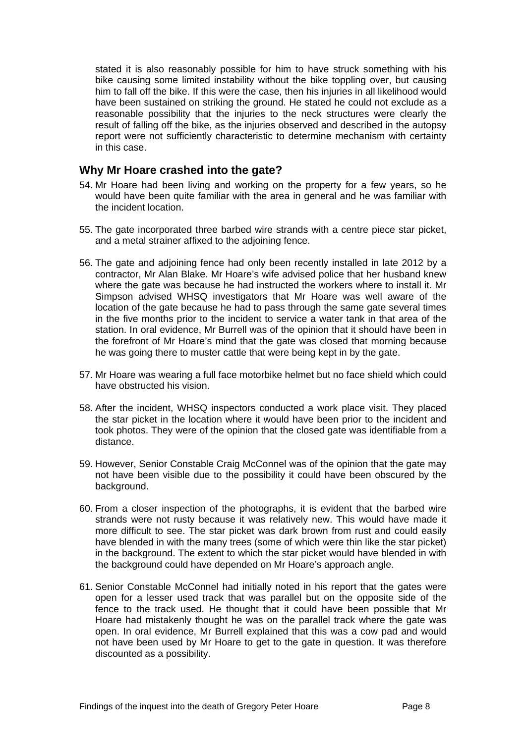stated it is also reasonably possible for him to have struck something with his bike causing some limited instability without the bike toppling over, but causing him to fall off the bike. If this were the case, then his injuries in all likelihood would have been sustained on striking the ground. He stated he could not exclude as a reasonable possibility that the injuries to the neck structures were clearly the result of falling off the bike, as the injuries observed and described in the autopsy report were not sufficiently characteristic to determine mechanism with certainty in this case.

#### <span id="page-8-0"></span>**Why Mr Hoare crashed into the gate?**

- 54. Mr Hoare had been living and working on the property for a few years, so he would have been quite familiar with the area in general and he was familiar with the incident location.
- 55. The gate incorporated three barbed wire strands with a centre piece star picket, and a metal strainer affixed to the adjoining fence.
- 56. The gate and adjoining fence had only been recently installed in late 2012 by a contractor, Mr Alan Blake. Mr Hoare's wife advised police that her husband knew where the gate was because he had instructed the workers where to install it. Mr Simpson advised WHSQ investigators that Mr Hoare was well aware of the location of the gate because he had to pass through the same gate several times in the five months prior to the incident to service a water tank in that area of the station. In oral evidence, Mr Burrell was of the opinion that it should have been in the forefront of Mr Hoare's mind that the gate was closed that morning because he was going there to muster cattle that were being kept in by the gate.
- 57. Mr Hoare was wearing a full face motorbike helmet but no face shield which could have obstructed his vision.
- 58. After the incident, WHSQ inspectors conducted a work place visit. They placed the star picket in the location where it would have been prior to the incident and took photos. They were of the opinion that the closed gate was identifiable from a distance.
- 59. However, Senior Constable Craig McConnel was of the opinion that the gate may not have been visible due to the possibility it could have been obscured by the background.
- 60. From a closer inspection of the photographs, it is evident that the barbed wire strands were not rusty because it was relatively new. This would have made it more difficult to see. The star picket was dark brown from rust and could easily have blended in with the many trees (some of which were thin like the star picket) in the background. The extent to which the star picket would have blended in with the background could have depended on Mr Hoare's approach angle.
- 61. Senior Constable McConnel had initially noted in his report that the gates were open for a lesser used track that was parallel but on the opposite side of the fence to the track used. He thought that it could have been possible that Mr Hoare had mistakenly thought he was on the parallel track where the gate was open. In oral evidence, Mr Burrell explained that this was a cow pad and would not have been used by Mr Hoare to get to the gate in question. It was therefore discounted as a possibility.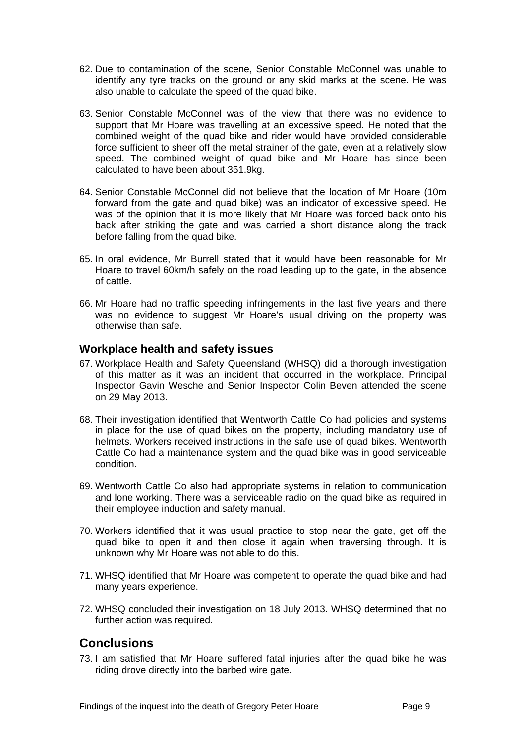- 62. Due to contamination of the scene, Senior Constable McConnel was unable to identify any tyre tracks on the ground or any skid marks at the scene. He was also unable to calculate the speed of the quad bike.
- 63. Senior Constable McConnel was of the view that there was no evidence to support that Mr Hoare was travelling at an excessive speed. He noted that the combined weight of the quad bike and rider would have provided considerable force sufficient to sheer off the metal strainer of the gate, even at a relatively slow speed. The combined weight of quad bike and Mr Hoare has since been calculated to have been about 351.9kg.
- 64. Senior Constable McConnel did not believe that the location of Mr Hoare (10m forward from the gate and quad bike) was an indicator of excessive speed. He was of the opinion that it is more likely that Mr Hoare was forced back onto his back after striking the gate and was carried a short distance along the track before falling from the quad bike.
- 65. In oral evidence, Mr Burrell stated that it would have been reasonable for Mr Hoare to travel 60km/h safely on the road leading up to the gate, in the absence of cattle.
- 66. Mr Hoare had no traffic speeding infringements in the last five years and there was no evidence to suggest Mr Hoare's usual driving on the property was otherwise than safe.

#### <span id="page-9-0"></span>**Workplace health and safety issues**

- 67. Workplace Health and Safety Queensland (WHSQ) did a thorough investigation of this matter as it was an incident that occurred in the workplace. Principal Inspector Gavin Wesche and Senior Inspector Colin Beven attended the scene on 29 May 2013.
- 68. Their investigation identified that Wentworth Cattle Co had policies and systems in place for the use of quad bikes on the property, including mandatory use of helmets. Workers received instructions in the safe use of quad bikes. Wentworth Cattle Co had a maintenance system and the quad bike was in good serviceable condition.
- 69. Wentworth Cattle Co also had appropriate systems in relation to communication and lone working. There was a serviceable radio on the quad bike as required in their employee induction and safety manual.
- 70. Workers identified that it was usual practice to stop near the gate, get off the quad bike to open it and then close it again when traversing through. It is unknown why Mr Hoare was not able to do this.
- 71. WHSQ identified that Mr Hoare was competent to operate the quad bike and had many years experience.
- 72. WHSQ concluded their investigation on 18 July 2013. WHSQ determined that no further action was required.

## <span id="page-9-1"></span>**Conclusions**

73. I am satisfied that Mr Hoare suffered fatal injuries after the quad bike he was riding drove directly into the barbed wire gate.